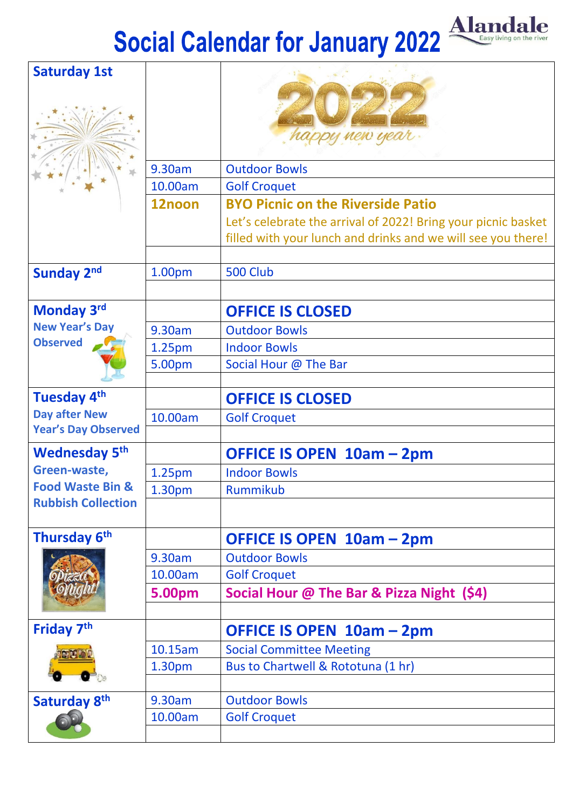## **Social Calendar for January 2022**



| <b>Saturday 1st</b>         |                    | happy new year                                                                                                                |
|-----------------------------|--------------------|-------------------------------------------------------------------------------------------------------------------------------|
|                             | 9.30am             | <b>Outdoor Bowls</b>                                                                                                          |
|                             | 10.00am            | <b>Golf Croquet</b>                                                                                                           |
|                             | 12noon             | <b>BYO Picnic on the Riverside Patio</b>                                                                                      |
|                             |                    | Let's celebrate the arrival of 2022! Bring your picnic basket<br>filled with your lunch and drinks and we will see you there! |
| <b>Sunday 2nd</b>           | 1.00pm             | <b>500 Club</b>                                                                                                               |
|                             |                    |                                                                                                                               |
| Monday 3rd                  |                    | <b>OFFICE IS CLOSED</b>                                                                                                       |
| <b>New Year's Day</b>       | 9.30am             | <b>Outdoor Bowls</b>                                                                                                          |
| <b>Observed</b>             | 1.25pm             | <b>Indoor Bowls</b>                                                                                                           |
|                             | 5.00pm             | Social Hour @ The Bar                                                                                                         |
|                             |                    |                                                                                                                               |
| Tuesday 4 <sup>th</sup>     |                    | <b>OFFICE IS CLOSED</b>                                                                                                       |
| <b>Day after New</b>        | 10.00am            | <b>Golf Croquet</b>                                                                                                           |
| <b>Year's Day Observed</b>  |                    |                                                                                                                               |
| <b>Wednesday 5th</b>        |                    | OFFICE IS OPEN 10am - 2pm                                                                                                     |
| Green-waste,                | 1.25pm             | <b>Indoor Bowls</b>                                                                                                           |
| <b>Food Waste Bin &amp;</b> | 1.30 <sub>pm</sub> | Rummikub                                                                                                                      |
| <b>Rubbish Collection</b>   |                    |                                                                                                                               |
| Thursday 6 <sup>th</sup>    |                    | OFFICE IS OPEN 10am - 2pm                                                                                                     |
|                             | 9.30am             | <b>Outdoor Bowls</b>                                                                                                          |
|                             | 10.00am            | <b>Golf Croquet</b>                                                                                                           |
|                             | 5.00pm             | Social Hour @ The Bar & Pizza Night (\$4)                                                                                     |
| Friday 7 <sup>th</sup>      |                    | OFFICE IS OPEN 10am - 2pm                                                                                                     |
|                             | 10.15am            | <b>Social Committee Meeting</b>                                                                                               |
|                             | 1.30pm             | Bus to Chartwell & Rototuna (1 hr)                                                                                            |
|                             |                    |                                                                                                                               |
| Saturday 8th                | 9.30am             | <b>Outdoor Bowls</b>                                                                                                          |
|                             | 10.00am            | <b>Golf Croquet</b>                                                                                                           |
|                             |                    |                                                                                                                               |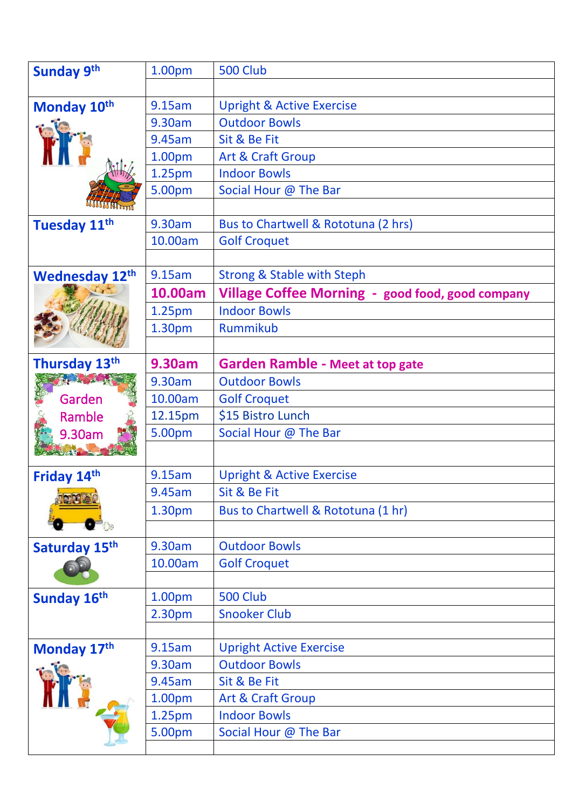| <b>Sunday 9th</b>        | 1.00pm             | 500 Club                                         |
|--------------------------|--------------------|--------------------------------------------------|
|                          |                    |                                                  |
| Monday 10th              | 9.15am             | <b>Upright &amp; Active Exercise</b>             |
|                          | 9.30am             | <b>Outdoor Bowls</b>                             |
|                          | 9.45am             | Sit & Be Fit                                     |
|                          | 1.00pm             | Art & Craft Group                                |
|                          | 1.25pm             | <b>Indoor Bowls</b>                              |
|                          | 5.00pm             | Social Hour @ The Bar                            |
|                          |                    |                                                  |
| Tuesday 11 <sup>th</sup> | 9.30am             | Bus to Chartwell & Rototuna (2 hrs)              |
|                          | 10.00am            | <b>Golf Croquet</b>                              |
|                          |                    |                                                  |
| <b>Wednesday 12th</b>    | 9.15am             | <b>Strong &amp; Stable with Steph</b>            |
|                          | 10.00am            | Village Coffee Morning - good food, good company |
|                          | 1.25pm             | <b>Indoor Bowls</b>                              |
|                          | 1.30pm             | Rummikub                                         |
|                          |                    |                                                  |
| Thursday 13th            | 9.30am             | <b>Garden Ramble - Meet at top gate</b>          |
| The Light Change         | 9.30am             | <b>Outdoor Bowls</b>                             |
| Garden                   | 10.00am            | <b>Golf Croquet</b>                              |
|                          |                    |                                                  |
| Ramble                   | 12.15pm            | \$15 Bistro Lunch                                |
| 9.30am                   | 5.00pm             | Social Hour @ The Bar                            |
|                          |                    |                                                  |
|                          | 9.15am             | <b>Upright &amp; Active Exercise</b>             |
| Friday 14th              | 9.45am             | Sit & Be Fit                                     |
|                          | 1.30pm             | Bus to Chartwell & Rototuna (1 hr)               |
|                          |                    |                                                  |
|                          | 9.30am             | <b>Outdoor Bowls</b>                             |
| Saturday 15th            | 10.00am            | <b>Golf Croquet</b>                              |
|                          |                    |                                                  |
| Sunday 16th              | 1.00pm             | <b>500 Club</b>                                  |
|                          | 2.30pm             | <b>Snooker Club</b>                              |
|                          |                    |                                                  |
| Monday 17th              | 9.15am             | <b>Upright Active Exercise</b>                   |
|                          | 9.30am             | <b>Outdoor Bowls</b>                             |
|                          | 9.45am             | Sit & Be Fit                                     |
|                          | 1.00 <sub>pm</sub> | Art & Craft Group                                |
|                          | 1.25 <sub>pm</sub> | <b>Indoor Bowls</b>                              |
|                          | 5.00pm             | Social Hour @ The Bar                            |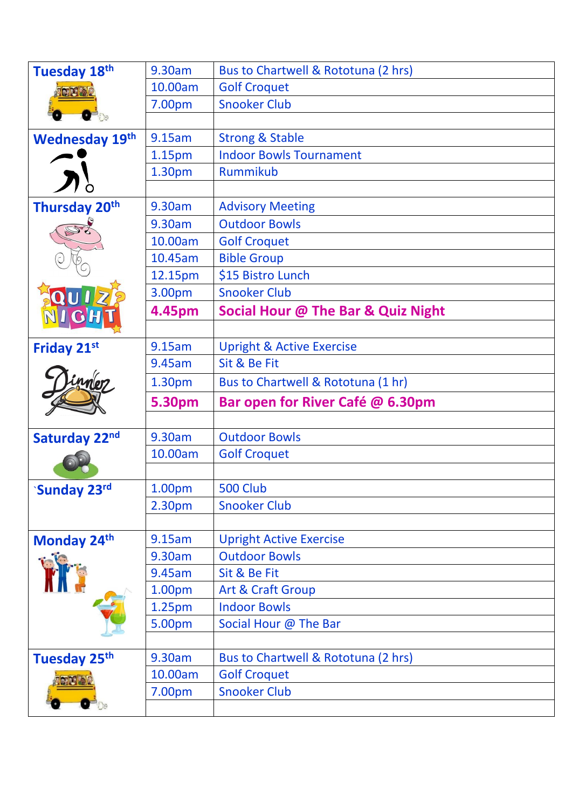| Tuesday 18th<br><b>ord av</b> | 9.30am  | Bus to Chartwell & Rototuna (2 hrs)  |
|-------------------------------|---------|--------------------------------------|
|                               | 10.00am | <b>Golf Croquet</b>                  |
|                               | 7.00pm  | <b>Snooker Club</b>                  |
|                               |         |                                      |
| <b>Wednesday 19th</b>         | 9.15am  | <b>Strong &amp; Stable</b>           |
|                               | 1.15pm  | <b>Indoor Bowls Tournament</b>       |
|                               | 1.30pm  | Rummikub                             |
|                               |         |                                      |
| Thursday 20 <sup>th</sup>     | 9.30am  | <b>Advisory Meeting</b>              |
|                               | 9.30am  | <b>Outdoor Bowls</b>                 |
|                               | 10.00am | <b>Golf Croquet</b>                  |
|                               | 10.45am | <b>Bible Group</b>                   |
|                               | 12.15pm | \$15 Bistro Lunch                    |
|                               | 3.00pm  | <b>Snooker Club</b>                  |
|                               | 4.45pm  | Social Hour @ The Bar & Quiz Night   |
|                               |         |                                      |
| Friday 21st                   | 9.15am  | <b>Upright &amp; Active Exercise</b> |
|                               | 9.45am  | Sit & Be Fit                         |
| <i><u><b>Merz</b></u></i>     | 1.30pm  | Bus to Chartwell & Rototuna (1 hr)   |
|                               |         |                                      |
|                               | 5.30pm  | Bar open for River Café @ 6.30pm     |
|                               |         |                                      |
| Saturday 22nd                 | 9.30am  | <b>Outdoor Bowls</b>                 |
|                               | 10.00am | <b>Golf Croquet</b>                  |
|                               |         |                                      |
| <b>Sunday 23rd</b>            | 1.00pm  | 500 Club                             |
|                               | 2.30pm  | <b>Snooker Club</b>                  |
|                               |         |                                      |
| Monday 24th                   | 9.15am  | <b>Upright Active Exercise</b>       |
|                               | 9.30am  | <b>Outdoor Bowls</b>                 |
|                               | 9.45am  | Sit & Be Fit                         |
|                               | 1.00pm  | Art & Craft Group                    |
|                               | 1.25pm  | <b>Indoor Bowls</b>                  |
|                               | 5.00pm  | Social Hour @ The Bar                |
|                               |         |                                      |
| Tuesday 25 <sup>th</sup>      | 9.30am  | Bus to Chartwell & Rototuna (2 hrs)  |
|                               | 10.00am | <b>Golf Croquet</b>                  |
|                               | 7.00pm  | <b>Snooker Club</b>                  |